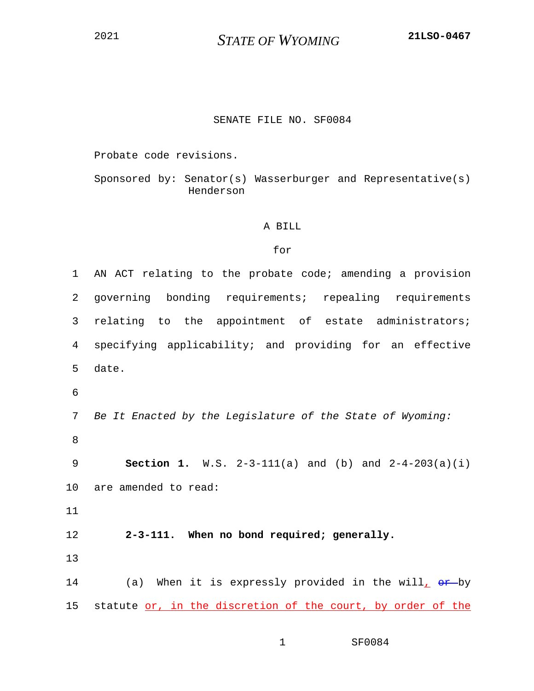<sup>2021</sup> *STATE OF WYOMING* **21LSO-0467**

## SENATE FILE NO. SF0084

Probate code revisions.

Sponsored by: Senator(s) Wasserburger and Representative(s) Henderson

## A BILL

## for

1 AN ACT relating to the probate code; amending a provision 2 governing bonding requirements; repealing requirements 3 relating to the appointment of estate administrators; 4 specifying applicability; and providing for an effective 5 date. 6 7 *Be It Enacted by the Legislature of the State of Wyoming:* 8 9 **Section 1.** W.S. 2-3-111(a) and (b) and 2-4-203(a)(i) 10 are amended to read: 11 12 **2-3-111. When no bond required; generally.** 13 14 (a) When it is expressly provided in the will,  $\theta$ *r*-by 15 statute or, in the discretion of the court, by order of the

1 SF0084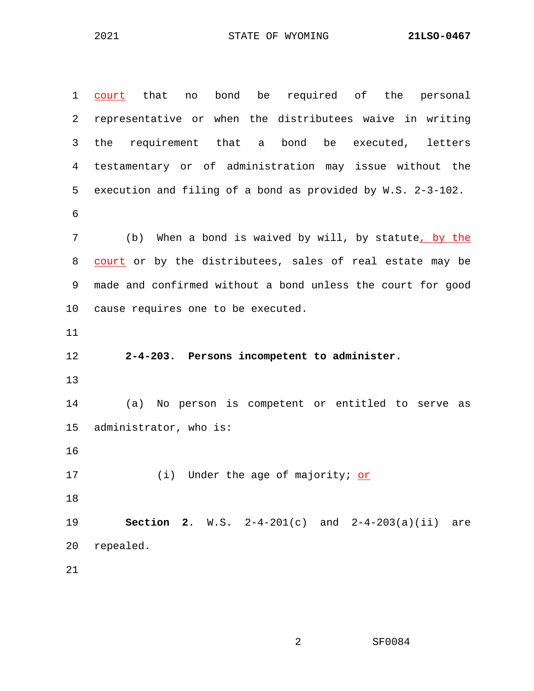2021 STATE OF WYOMING **21LSO-0467**

| $\mathbf 1$ | no bond be required of the personal<br>that<br>court            |  |  |
|-------------|-----------------------------------------------------------------|--|--|
| 2           | representative or when the distributees waive in writing        |  |  |
| 3           | requirement that a bond be executed,<br>the<br>letters          |  |  |
| 4           | testamentary or of administration may issue without the         |  |  |
| 5           | execution and filing of a bond as provided by W.S. 2-3-102.     |  |  |
| 6           |                                                                 |  |  |
| 7           | (b) When a bond is waived by will, by statute, by the           |  |  |
| 8           | court or by the distributees, sales of real estate may be       |  |  |
| 9           | made and confirmed without a bond unless the court for good     |  |  |
| 10          | cause requires one to be executed.                              |  |  |
| 11          |                                                                 |  |  |
| 12          | 2-4-203. Persons incompetent to administer.                     |  |  |
| 13          |                                                                 |  |  |
| 14          | No person is competent or entitled to serve as<br>(a)           |  |  |
| 15          | administrator, who is:                                          |  |  |
| 16          |                                                                 |  |  |
| 17          | (i) Under the age of majority; or                               |  |  |
| 18          |                                                                 |  |  |
| 19          | <b>Section 2.</b> W.S. $2-4-201(c)$ and $2-4-203(a)(ii)$<br>are |  |  |
| 20          | repealed.                                                       |  |  |
| 21          |                                                                 |  |  |

2 SF0084